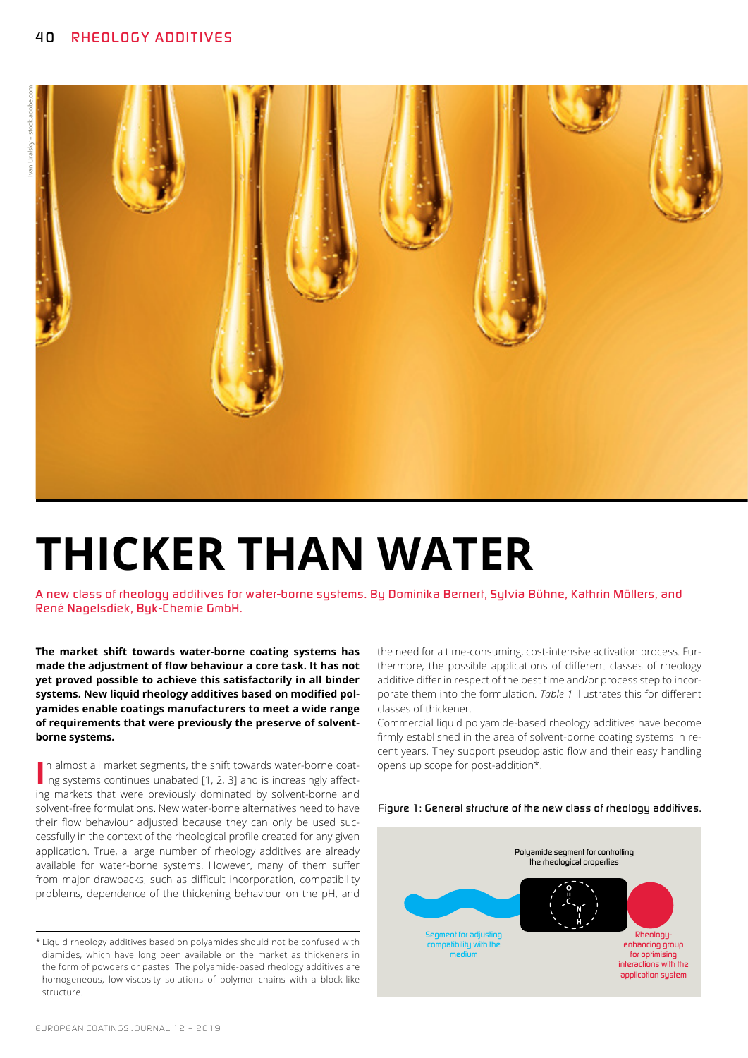

# **THICKER THAN WATER**

*A new class of rheology additives for water-borne systems. By Dominika Bernert, Sylvia Bühne, Kathrin Möllers, and René Nagelsdiek, Byk-Chemie GmbH.*

**The market shift towards water-borne coating systems has made the adjustment of flow behaviour a core task. It has not yet proved possible to achieve this satisfactorily in all binder systems. New liquid rheology additives based on modified polyamides enable coatings manufacturers to meet a wide range of requirements that were previously the preserve of solventborne systems.**

In almost all market segments, the shift towards water-borne coating systems continues unabated [1, 2, 3] and is increasingly affectn almost all market segments, the shift towards water-borne coating markets that were previously dominated by solvent-borne and solvent-free formulations. New water-borne alternatives need to have their flow behaviour adjusted because they can only be used successfully in the context of the rheological profile created for any given application. True, a large number of rheology additives are already available for water-borne systems. However, many of them suffer from major drawbacks, such as difficult incorporation, compatibility problems, dependence of the thickening behaviour on the pH, and

the need for a time-consuming, cost-intensive activation process. Furthermore, the possible applications of different classes of rheology additive differ in respect of the best time and/or process step to incorporate them into the formulation. *Table 1* illustrates this for different classes of thickener.

Commercial liquid polyamide-based rheology additives have become firmly established in the area of solvent-borne coating systems in recent years. They support pseudoplastic flow and their easy handling opens up scope for post-addition\*.





<sup>\*</sup>Liquid rheology additives based on polyamides should not be confused with diamides, which have long been available on the market as thickeners in the form of powders or pastes. The polyamide-based rheology additives are homogeneous, low-viscosity solutions of polymer chains with a block-like structure.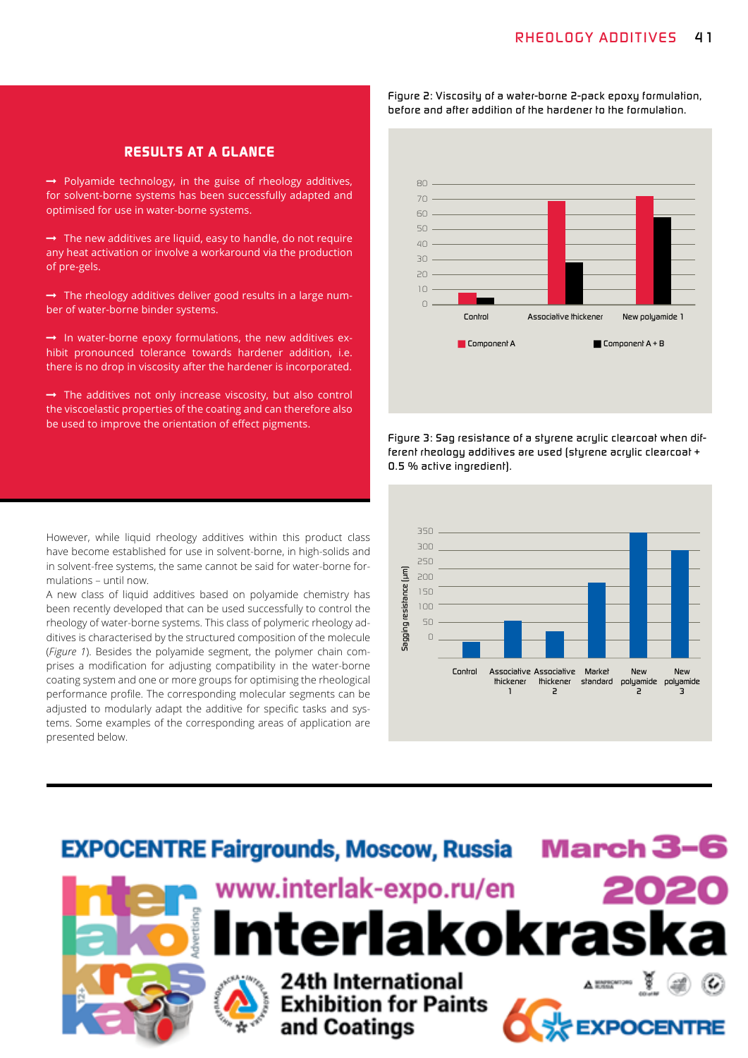### *RESULTS AT A GLANCE*

 $\rightarrow$  Polyamide technology, in the guise of rheology additives, for solvent-borne systems has been successfully adapted and optimised for use in water-borne systems.

 $\rightarrow$  The new additives are liquid, easy to handle, do not require any heat activation or involve a workaround via the production of pre-gels.

 $\rightarrow$  The rheology additives deliver good results in a large number of water-borne binder systems.

 $\rightarrow$  In water-borne epoxy formulations, the new additives exhibit pronounced tolerance towards hardener addition, i.e. there is no drop in viscosity after the hardener is incorporated.

 $\rightarrow$  The additives not only increase viscosity, but also control the viscoelastic properties of the coating and can therefore also be used to improve the orientation of effect pigments.

 *Component A Component A + B 80 70 60 50 40 30 20 10 0 Control Associative thickener New polyamide 1*

*Figure 2: Viscosity of a water-borne 2-pack epoxy formulation,* 

*Figure 3: Sag resistance of a styrene acrylic clearcoat when different rheology additives are used (styrene acrylic clearcoat + 0.5 % active ingredient).*





However, while liquid rheology additives within this product class have become established for use in solvent-borne, in high-solids and in solvent-free systems, the same cannot be said for water-borne formulations – until now.

A new class of liquid additives based on polyamide chemistry has been recently developed that can be used successfully to control the rheology of water-borne systems. This class of polymeric rheology additives is characterised by the structured composition of the molecule (*Figure 1*). Besides the polyamide segment, the polymer chain comprises a modification for adjusting compatibility in the water-borne coating system and one or more groups for optimising the rheological performance profile. The corresponding molecular segments can be adjusted to modularly adapt the additive for specific tasks and systems. Some examples of the corresponding areas of application are presented below.

*before and after addition of the hardener to the formulation.*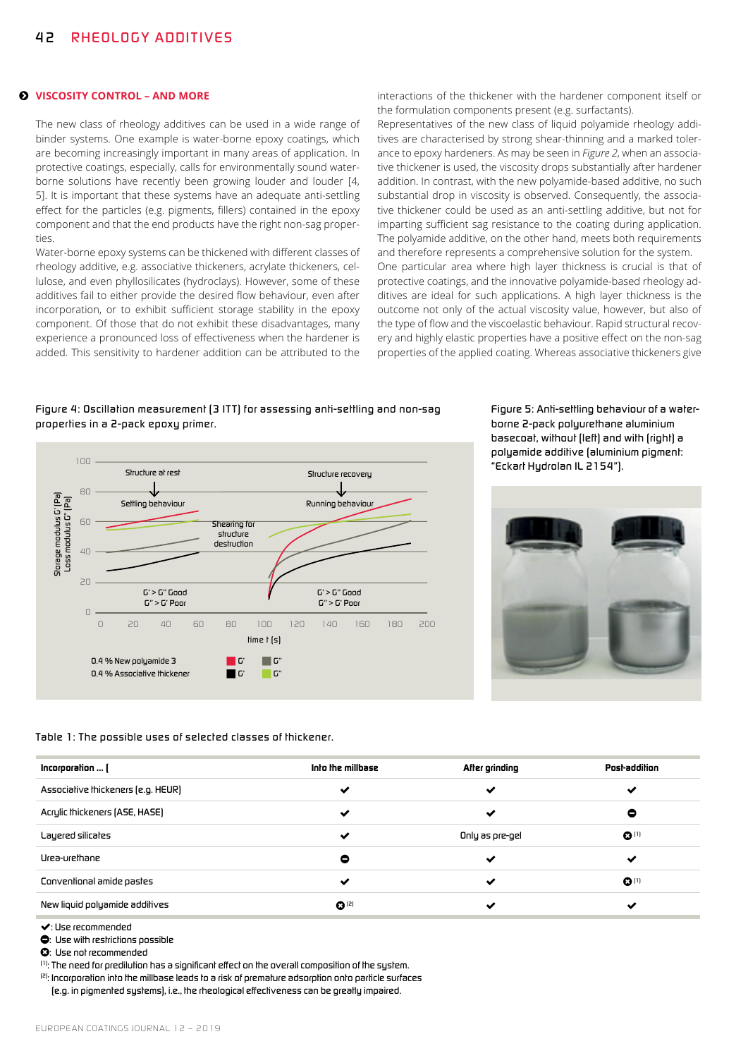#### **VISCOSITY CONTROL – AND MORE**

The new class of rheology additives can be used in a wide range of binder systems. One example is water-borne epoxy coatings, which are becoming increasingly important in many areas of application. In protective coatings, especially, calls for environmentally sound waterborne solutions have recently been growing louder and louder [4, 5]. It is important that these systems have an adequate anti-settling effect for the particles (e.g. pigments, fillers) contained in the epoxy component and that the end products have the right non-sag properties.

Water-borne epoxy systems can be thickened with different classes of rheology additive, e.g. associative thickeners, acrylate thickeners, cellulose, and even phyllosilicates (hydroclays). However, some of these additives fail to either provide the desired flow behaviour, even after incorporation, or to exhibit sufficient storage stability in the epoxy component. Of those that do not exhibit these disadvantages, many experience a pronounced loss of effectiveness when the hardener is added. This sensitivity to hardener addition can be attributed to the

interactions of the thickener with the hardener component itself or the formulation components present (e.g. surfactants).

Representatives of the new class of liquid polyamide rheology additives are characterised by strong shear-thinning and a marked tolerance to epoxy hardeners. As may be seen in *Figure 2*, when an associative thickener is used, the viscosity drops substantially after hardener addition. In contrast, with the new polyamide-based additive, no such substantial drop in viscosity is observed. Consequently, the associative thickener could be used as an anti-settling additive, but not for imparting sufficient sag resistance to the coating during application. The polyamide additive, on the other hand, meets both requirements and therefore represents a comprehensive solution for the system. One particular area where high layer thickness is crucial is that of protective coatings, and the innovative polyamide-based rheology additives are ideal for such applications. A high layer thickness is the outcome not only of the actual viscosity value, however, but also of the type of flow and the viscoelastic behaviour. Rapid structural recovery and highly elastic properties have a positive effect on the non-sag properties of the applied coating. Whereas associative thickeners give

### *Figure 4: Oscillation measurement (3 IT T) for assessing anti-settling and non-sag properties in a 2-pack epoxy primer.*



*Figure 5: Anti-settling behaviour of a waterborne 2-pack polyurethane aluminium basecoat, without (left) and with (right) a polyamide additive (aluminium pigment: "Eckart Hydrolan IL 2154").*



*Table 1: The possible uses of selected classes of thickener.*

| Incorporation  (                   | Into the millbase  | After grinding  | Post-addition      |
|------------------------------------|--------------------|-----------------|--------------------|
| Associalive thickeners (e.g. HEUR) | $\checkmark$       | ✔               | ✔                  |
| Acrylic Ihickeners (ASE, HASE)     | ✔                  | ✔               | 0                  |
| Layered silicates                  | ✔                  | Only as pre-gel | $\mathbf{O}^{(1)}$ |
| Urea-urethane                      | ۰                  | $\checkmark$    | ✔                  |
| Conventional amide pastes          | ✔                  | ↩               | $\mathbf{O}^{(1)}$ |
| New liquid polyamide addilives     | $\mathbf{O}^{(2)}$ | ↩               | ✔                  |

*: Use recommended* 

*: Use with restrictions possible* 

 $$ 

*(1): The need for predilution has a significant effect on the overall composition of the system.*

*(2): Incorporation into the millbase leads to a risk of premature adsorption onto particle surfaces* 

*(e.g. in pigmented systems), i.e., the rheological effectiveness can be greatly impaired.*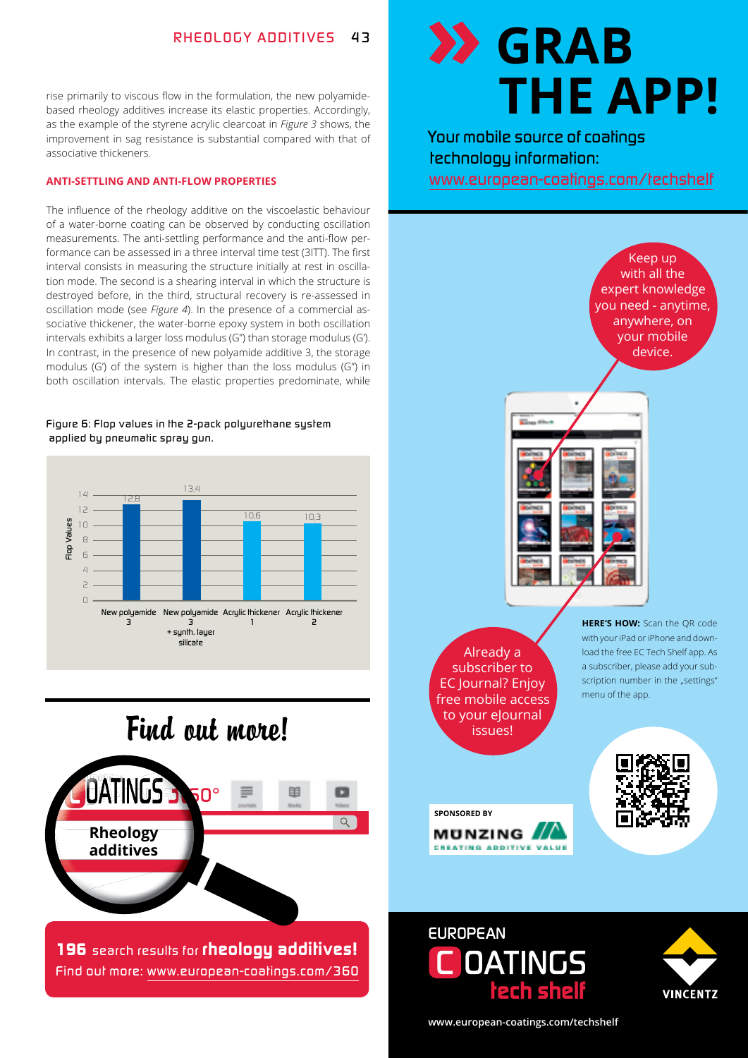rise primarily to viscous flow in the formulation, the new polyamidebased rheology additives increase its elastic properties. Accordingly, as the example of the styrene acrylic clearcoat in *Figure 3* shows, the improvement in sag resistance is substantial compared with that of associative thickeners.

### **ANTI-SETTLING AND ANTI-FLOW PROPERTIES**

The influence of the rheology additive on the viscoelastic behaviour of a water-borne coating can be observed by conducting oscillation measurements. The anti-settling performance and the anti-flow performance can be assessed in a three interval time test (3ITT). The first interval consists in measuring the structure initially at rest in oscillation mode. The second is a shearing interval in which the structure is destroyed before, in the third, structural recovery is re-assessed in oscillation mode (see *Figure 4*). In the presence of a commercial associative thickener, the water-borne epoxy system in both oscillation intervals exhibits a larger loss modulus (G'') than storage modulus (G'). In contrast, in the presence of new polyamide additive 3, the storage modulus (G') of the system is higher than the loss modulus (G'') in both oscillation intervals. The elastic properties predominate, while

### *Figure 6: Flop values in the 2-pack polyurethane system applied by pneumatic spray gun.*



## Find out more!



*196 search results for rheology additives! Find out more: www.european-coatings.com/360*

## **GRAB THE APP!** *www.european-coatings.com/techshelf*

Your mobile source of coatings **with all the source** *technology information:*  www.european-coatings.com/techshelf